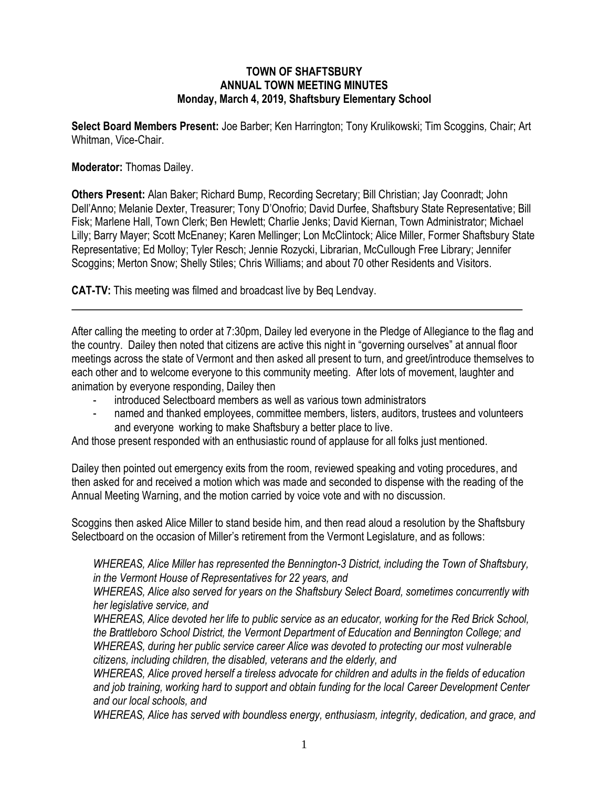## **TOWN OF SHAFTSBURY ANNUAL TOWN MEETING MINUTES Monday, March 4, 2019, Shaftsbury Elementary School**

**Select Board Members Present:** Joe Barber; Ken Harrington; Tony Krulikowski; Tim Scoggins*,* Chair; Art Whitman, Vice-Chair.

## **Moderator:** Thomas Dailey.

**Others Present:** Alan Baker; Richard Bump, Recording Secretary; Bill Christian; Jay Coonradt; John Dell'Anno; Melanie Dexter, Treasurer; Tony D'Onofrio; David Durfee, Shaftsbury State Representative; Bill Fisk; Marlene Hall, Town Clerk; Ben Hewlett; Charlie Jenks; David Kiernan, Town Administrator; Michael Lilly; Barry Mayer; Scott McEnaney; Karen Mellinger; Lon McClintock; Alice Miller, Former Shaftsbury State Representative; Ed Molloy; Tyler Resch; Jennie Rozycki, Librarian, McCullough Free Library; Jennifer Scoggins; Merton Snow; Shelly Stiles; Chris Williams; and about 70 other Residents and Visitors.

**CAT-TV:** This meeting was filmed and broadcast live by Beq Lendvay.

After calling the meeting to order at 7:30pm, Dailey led everyone in the Pledge of Allegiance to the flag and the country. Dailey then noted that citizens are active this night in "governing ourselves" at annual floor meetings across the state of Vermont and then asked all present to turn, and greet/introduce themselves to each other and to welcome everyone to this community meeting. After lots of movement, laughter and animation by everyone responding, Dailey then

- introduced Selectboard members as well as various town administrators
- named and thanked employees, committee members, listers, auditors, trustees and volunteers and everyone working to make Shaftsbury a better place to live.

And those present responded with an enthusiastic round of applause for all folks just mentioned.

Dailey then pointed out emergency exits from the room, reviewed speaking and voting procedures, and then asked for and received a motion which was made and seconded to dispense with the reading of the Annual Meeting Warning, and the motion carried by voice vote and with no discussion.

Scoggins then asked Alice Miller to stand beside him, and then read aloud a resolution by the Shaftsbury Selectboard on the occasion of Miller's retirement from the Vermont Legislature, and as follows:

*WHEREAS, Alice Miller has represented the Bennington-3 District, including the Town of Shaftsbury, in the Vermont House of Representatives for 22 years, and* 

*WHEREAS, Alice also served for years on the Shaftsbury Select Board, sometimes concurrently with her legislative service, and*

*WHEREAS, Alice devoted her life to public service as an educator, working for the Red Brick School, the Brattleboro School District, the Vermont Department of Education and Bennington College; and WHEREAS, during her public service career Alice was devoted to protecting our most vulnerable citizens, including children, the disabled, veterans and the elderly, and* 

*WHEREAS, Alice proved herself a tireless advocate for children and adults in the fields of education and job training, working hard to support and obtain funding for the local Career Development Center and our local schools, and*

*WHEREAS, Alice has served with boundless energy, enthusiasm, integrity, dedication, and grace, and*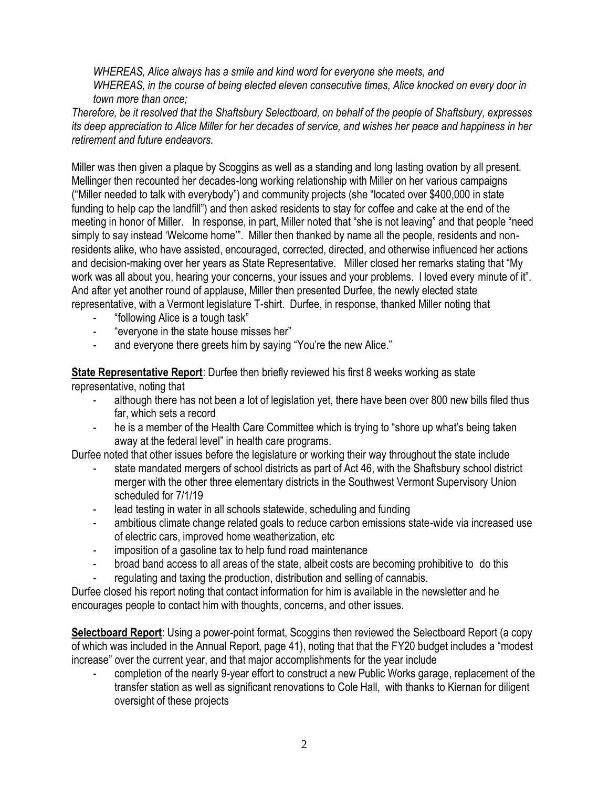*WHEREAS, Alice always has a smile and kind word for everyone she meets, and WHEREAS, in the course of being elected eleven consecutive times, Alice knocked on every door in town more than once;* 

*Therefore, be it resolved that the Shaftsbury Selectboard, on behalf of the people of Shaftsbury, expresses its deep appreciation to Alice Miller for her decades of service, and wishes her peace and happiness in her retirement and future endeavors.* 

Miller was then given a plaque by Scoggins as well as a standing and long lasting ovation by all present. Mellinger then recounted her decades-long working relationship with Miller on her various campaigns ("Miller needed to talk with everybody") and community projects (she "located over \$400,000 in state funding to help cap the landfill") and then asked residents to stay for coffee and cake at the end of the meeting in honor of Miller. In response, in part, Miller noted that "she is not leaving" and that people "need simply to say instead 'Welcome home'". Miller then thanked by name all the people, residents and nonresidents alike, who have assisted, encouraged, corrected, directed, and otherwise influenced her actions and decision-making over her years as State Representative. Miller closed her remarks stating that "My work was all about you, hearing your concerns, your issues and your problems. I loved every minute of it". And after yet another round of applause, Miller then presented Durfee, the newly elected state representative, with a Vermont legislature T-shirt. Durfee, in response, thanked Miller noting that

- "following Alice is a tough task"
- "everyone in the state house misses her"
- and everyone there greets him by saying "You're the new Alice."

**State Representative Report**: Durfee then briefly reviewed his first 8 weeks working as state

representative, noting that

- although there has not been a lot of legislation yet, there have been over 800 new bills filed thus far, which sets a record
- he is a member of the Health Care Committee which is trying to "shore up what's being taken away at the federal level" in health care programs.

Durfee noted that other issues before the legislature or working their way throughout the state include

- state mandated mergers of school districts as part of Act 46, with the Shaftsbury school district merger with the other three elementary districts in the Southwest Vermont Supervisory Union scheduled for 7/1/19
- lead testing in water in all schools statewide, scheduling and funding
- ambitious climate change related goals to reduce carbon emissions state-wide via increased use of electric cars, improved home weatherization, etc
- imposition of a gasoline tax to help fund road maintenance
- broad band access to all areas of the state, albeit costs are becoming prohibitive to do this
- regulating and taxing the production, distribution and selling of cannabis.

Durfee closed his report noting that contact information for him is available in the newsletter and he encourages people to contact him with thoughts, concerns, and other issues.

**Selectboard Report**: Using a power-point format, Scoggins then reviewed the Selectboard Report (a copy of which was included in the Annual Report, page 41), noting that that the FY20 budget includes a "modest increase" over the current year, and that major accomplishments for the year include

- completion of the nearly 9-year effort to construct a new Public Works garage, replacement of the transfer station as well as significant renovations to Cole Hall, with thanks to Kiernan for diligent oversight of these projects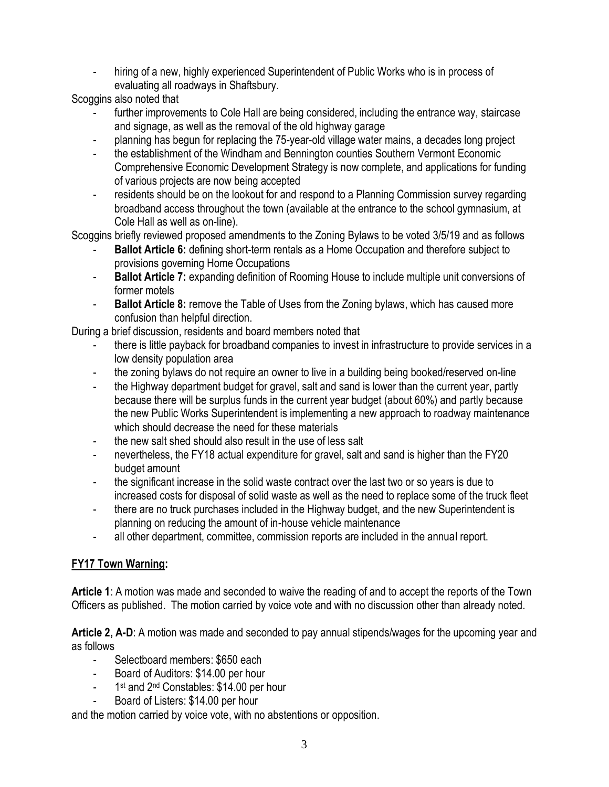hiring of a new, highly experienced Superintendent of Public Works who is in process of evaluating all roadways in Shaftsbury.

Scoggins also noted that

- further improvements to Cole Hall are being considered, including the entrance way, staircase and signage, as well as the removal of the old highway garage
- planning has begun for replacing the 75-year-old village water mains, a decades long project
- the establishment of the Windham and Bennington counties Southern Vermont Economic Comprehensive Economic Development Strategy is now complete, and applications for funding of various projects are now being accepted
- residents should be on the lookout for and respond to a Planning Commission survey regarding broadband access throughout the town (available at the entrance to the school gymnasium, at Cole Hall as well as on-line).

Scoggins briefly reviewed proposed amendments to the Zoning Bylaws to be voted 3/5/19 and as follows

- **Ballot Article 6:** defining short-term rentals as a Home Occupation and therefore subject to provisions governing Home Occupations
- **Ballot Article 7:** expanding definition of Rooming House to include multiple unit conversions of former motels
- **Ballot Article 8:** remove the Table of Uses from the Zoning bylaws, which has caused more confusion than helpful direction.

During a brief discussion, residents and board members noted that

- there is little payback for broadband companies to invest in infrastructure to provide services in a low density population area
- the zoning bylaws do not require an owner to live in a building being booked/reserved on-line
- the Highway department budget for gravel, salt and sand is lower than the current year, partly because there will be surplus funds in the current year budget (about 60%) and partly because the new Public Works Superintendent is implementing a new approach to roadway maintenance which should decrease the need for these materials
- the new salt shed should also result in the use of less salt
- nevertheless, the FY18 actual expenditure for gravel, salt and sand is higher than the FY20 budget amount
- the significant increase in the solid waste contract over the last two or so years is due to increased costs for disposal of solid waste as well as the need to replace some of the truck fleet
- there are no truck purchases included in the Highway budget, and the new Superintendent is planning on reducing the amount of in-house vehicle maintenance
- all other department, committee, commission reports are included in the annual report.

## **FY17 Town Warning:**

**Article 1**: A motion was made and seconded to waive the reading of and to accept the reports of the Town Officers as published. The motion carried by voice vote and with no discussion other than already noted.

**Article 2, A-D**: A motion was made and seconded to pay annual stipends/wages for the upcoming year and as follows

- Selectboard members: \$650 each
- Board of Auditors: \$14.00 per hour
- 1 1<sup>st</sup> and 2<sup>nd</sup> Constables: \$14.00 per hour
- Board of Listers: \$14.00 per hour

and the motion carried by voice vote, with no abstentions or opposition.